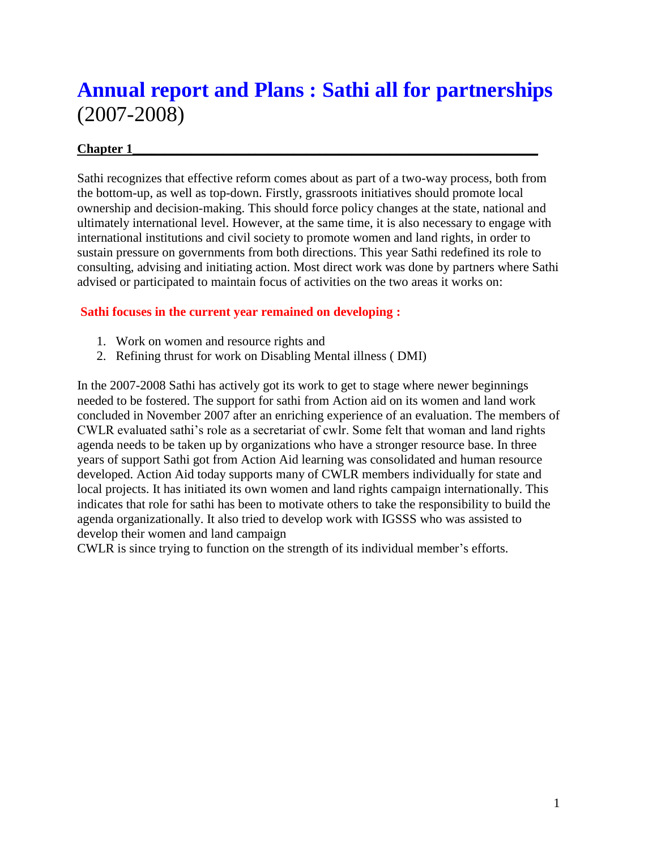# **Annual report and Plans : Sathi all for partnerships** (2007-2008)

#### Chapter 1

Sathi recognizes that effective reform comes about as part of a two-way process, both from the bottom-up, as well as top-down. Firstly, grassroots initiatives should promote local ownership and decision-making. This should force policy changes at the state, national and ultimately international level. However, at the same time, it is also necessary to engage with international institutions and civil society to promote women and land rights, in order to sustain pressure on governments from both directions. This year Sathi redefined its role to consulting, advising and initiating action. Most direct work was done by partners where Sathi advised or participated to maintain focus of activities on the two areas it works on:

#### **Sathi focuses in the current year remained on developing :**

- 1. Work on women and resource rights and
- 2. Refining thrust for work on Disabling Mental illness ( DMI)

In the 2007-2008 Sathi has actively got its work to get to stage where newer beginnings needed to be fostered. The support for sathi from Action aid on its women and land work concluded in November 2007 after an enriching experience of an evaluation. The members of CWLR evaluated sathi's role as a secretariat of cwlr. Some felt that woman and land rights agenda needs to be taken up by organizations who have a stronger resource base. In three years of support Sathi got from Action Aid learning was consolidated and human resource developed. Action Aid today supports many of CWLR members individually for state and local projects. It has initiated its own women and land rights campaign internationally. This indicates that role for sathi has been to motivate others to take the responsibility to build the agenda organizationally. It also tried to develop work with IGSSS who was assisted to develop their women and land campaign

CWLR is since trying to function on the strength of its individual member's efforts.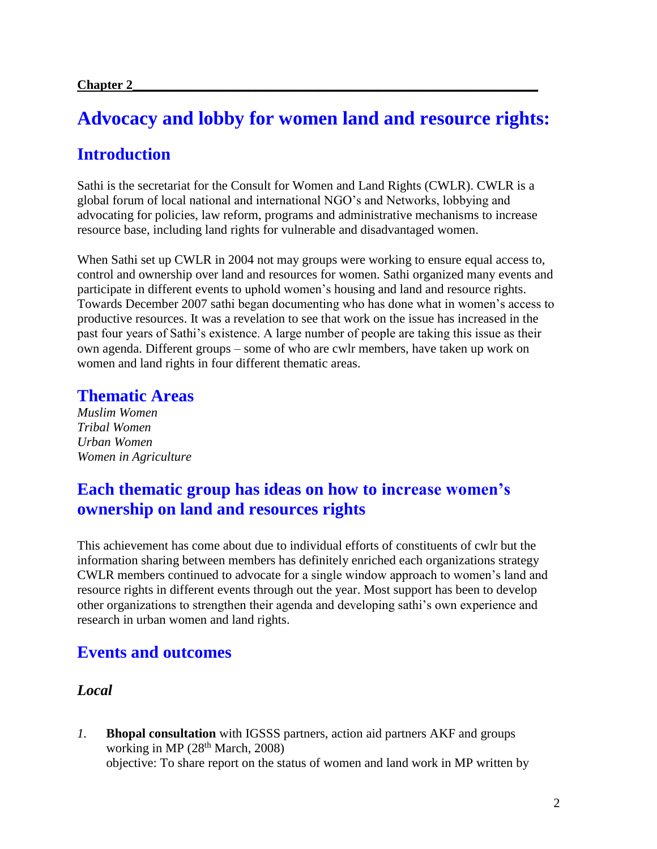# **Advocacy and lobby for women land and resource rights:**

## **Introduction**

Sathi is the secretariat for the Consult for Women and Land Rights (CWLR). CWLR is a global forum of local national and international NGO's and Networks, lobbying and advocating for policies, law reform, programs and administrative mechanisms to increase resource base, including land rights for vulnerable and disadvantaged women.

When Sathi set up CWLR in 2004 not may groups were working to ensure equal access to, control and ownership over land and resources for women. Sathi organized many events and participate in different events to uphold women's housing and land and resource rights. Towards December 2007 sathi began documenting who has done what in women's access to productive resources. It was a revelation to see that work on the issue has increased in the past four years of Sathi's existence. A large number of people are taking this issue as their own agenda. Different groups – some of who are cwlr members, have taken up work on women and land rights in four different thematic areas.

### **Thematic Areas**

*Muslim Women Tribal Women Urban Women Women in Agriculture*

## **Each thematic group has ideas on how to increase women's ownership on land and resources rights**

This achievement has come about due to individual efforts of constituents of cwlr but the information sharing between members has definitely enriched each organizations strategy CWLR members continued to advocate for a single window approach to women's land and resource rights in different events through out the year. Most support has been to develop other organizations to strengthen their agenda and developing sathi's own experience and research in urban women and land rights.

## **Events and outcomes**

### *Local*

*1.* **Bhopal consultation** with IGSSS partners, action aid partners AKF and groups working in MP (28<sup>th</sup> March, 2008) objective: To share report on the status of women and land work in MP written by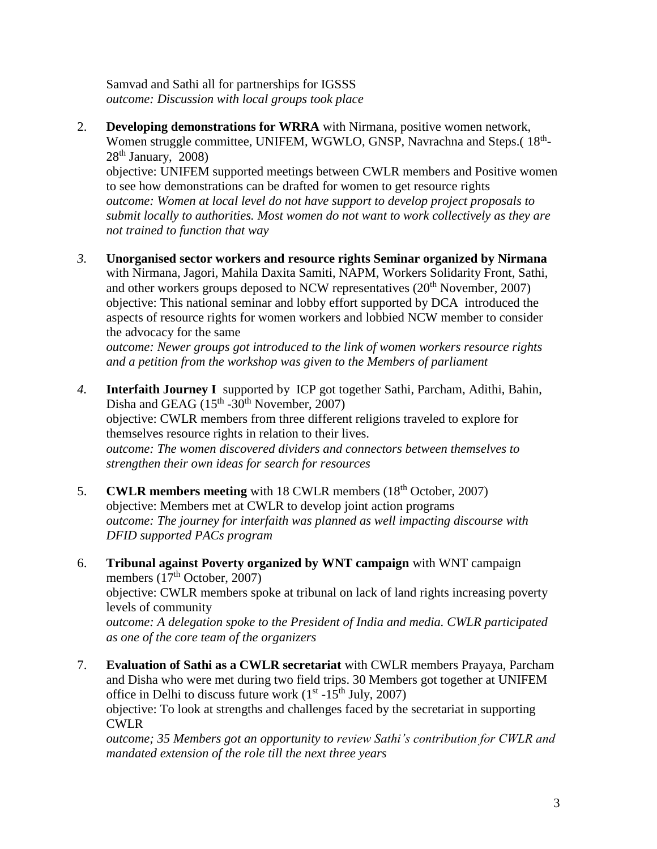Samvad and Sathi all for partnerships for IGSSS *outcome: Discussion with local groups took place*

2. **Developing demonstrations for WRRA** with Nirmana, positive women network, Women struggle committee, UNIFEM, WGWLO, GNSP, Navrachna and Steps.(18<sup>th</sup>- $28<sup>th</sup>$  January,  $2008$ )

objective: UNIFEM supported meetings between CWLR members and Positive women to see how demonstrations can be drafted for women to get resource rights *outcome: Women at local level do not have support to develop project proposals to submit locally to authorities. Most women do not want to work collectively as they are not trained to function that way*

*3.* **Unorganised sector workers and resource rights Seminar organized by Nirmana** with Nirmana, Jagori, Mahila Daxita Samiti, NAPM, Workers Solidarity Front, Sathi, and other workers groups deposed to NCW representatives  $(20<sup>th</sup>$  November, 2007) objective: This national seminar and lobby effort supported by DCA introduced the aspects of resource rights for women workers and lobbied NCW member to consider the advocacy for the same

*outcome: Newer groups got introduced to the link of women workers resource rights and a petition from the workshop was given to the Members of parliament*

- *4.* **Interfaith Journey I** supported by ICP got together Sathi, Parcham, Adithi, Bahin, Disha and GEAG  $(15<sup>th</sup> - 30<sup>th</sup>$  November, 2007) objective: CWLR members from three different religions traveled to explore for themselves resource rights in relation to their lives. *outcome: The women discovered dividers and connectors between themselves to strengthen their own ideas for search for resources*
- 5. **CWLR members meeting** with 18 CWLR members (18<sup>th</sup> October, 2007) objective: Members met at CWLR to develop joint action programs *outcome: The journey for interfaith was planned as well impacting discourse with DFID supported PACs program*
- 6. **Tribunal against Poverty organized by WNT campaign** with WNT campaign members  $(17<sup>th</sup> October, 2007)$ objective: CWLR members spoke at tribunal on lack of land rights increasing poverty levels of community *outcome: A delegation spoke to the President of India and media. CWLR participated as one of the core team of the organizers*
- 7. **Evaluation of Sathi as a CWLR secretariat** with CWLR members Prayaya, Parcham and Disha who were met during two field trips. 30 Members got together at UNIFEM office in Delhi to discuss future work  $(1<sup>st</sup> - 15<sup>th</sup>$  July, 2007) objective: To look at strengths and challenges faced by the secretariat in supporting CWLR

*outcome; 35 Members got an opportunity to review Sathi's contribution for CWLR and mandated extension of the role till the next three years*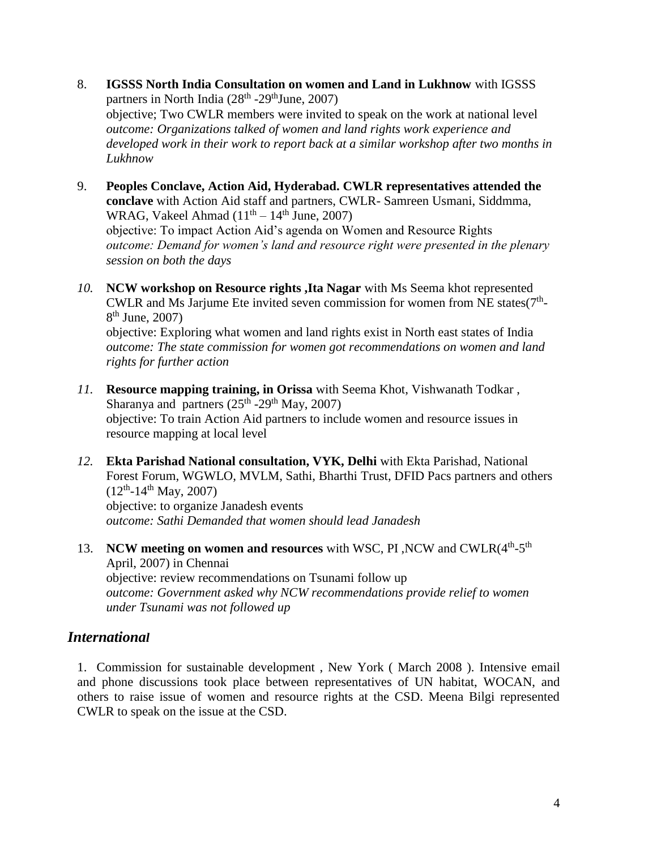- 8. **IGSSS North India Consultation on women and Land in Lukhnow** with IGSSS partners in North India  $(28<sup>th</sup> - 29<sup>th</sup>$ June, 2007) objective; Two CWLR members were invited to speak on the work at national level *outcome: Organizations talked of women and land rights work experience and developed work in their work to report back at a similar workshop after two months in Lukhnow*
- 9. **Peoples Conclave, Action Aid, Hyderabad. CWLR representatives attended the conclave** with Action Aid staff and partners, CWLR- Samreen Usmani, Siddmma, WRAG, Vakeel Ahmad  $(11<sup>th</sup> – 14<sup>th</sup> June, 2007)$ objective: To impact Action Aid's agenda on Women and Resource Rights *outcome: Demand for women's land and resource right were presented in the plenary session on both the days*
- *10.* **NCW workshop on Resource rights ,Ita Nagar** with Ms Seema khot represented CWLR and Ms Jarjume Ete invited seven commission for women from NE states( $7<sup>th</sup>$ -8<sup>th</sup> June, 2007) objective: Exploring what women and land rights exist in North east states of India

*outcome: The state commission for women got recommendations on women and land rights for further action*

- *11.* **Resource mapping training, in Orissa** with Seema Khot, Vishwanath Todkar , Sharanya and partners  $(25<sup>th</sup> - 29<sup>th</sup>$  May, 2007) objective: To train Action Aid partners to include women and resource issues in resource mapping at local level
- *12.* **Ekta Parishad National consultation, VYK, Delhi** with Ekta Parishad, National Forest Forum, WGWLO, MVLM, Sathi, Bharthi Trust, DFID Pacs partners and others  $(12<sup>th</sup> - 14<sup>th</sup>$  May, 2007) objective: to organize Janadesh events *outcome: Sathi Demanded that women should lead Janadesh*
- 13. NCW meeting on women and resources with WSC, PI, NCW and CWLR(4<sup>th</sup>-5<sup>th</sup>) April, 2007) in Chennai objective: review recommendations on Tsunami follow up *outcome: Government asked why NCW recommendations provide relief to women under Tsunami was not followed up*

### *International*

1. Commission for sustainable development , New York ( March 2008 ). Intensive email and phone discussions took place between representatives of UN habitat, WOCAN, and others to raise issue of women and resource rights at the CSD. Meena Bilgi represented CWLR to speak on the issue at the CSD.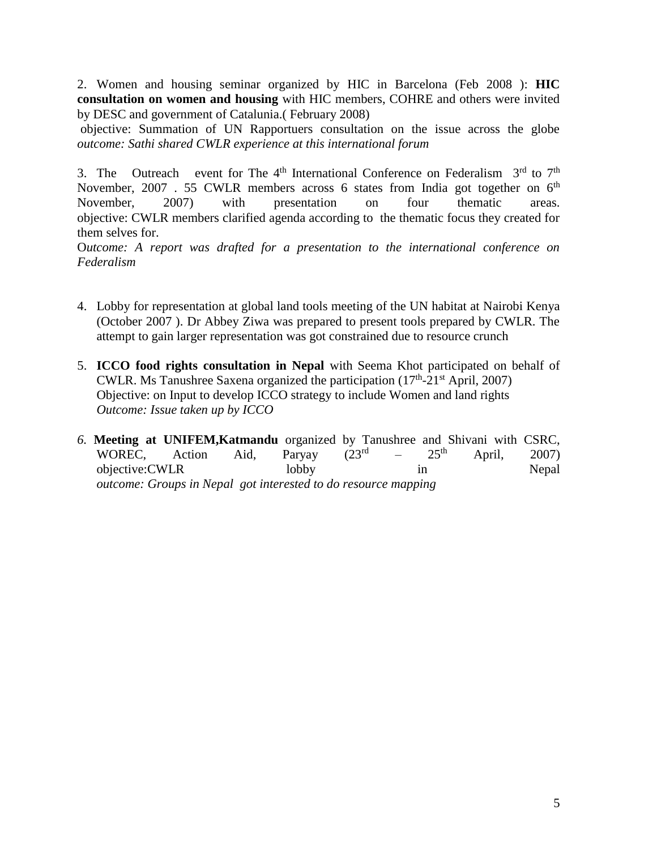2. Women and housing seminar organized by HIC in Barcelona (Feb 2008 ): **HIC consultation on women and housing** with HIC members, COHRE and others were invited by DESC and government of Catalunia.( February 2008)

objective: Summation of UN Rapportuers consultation on the issue across the globe *outcome: Sathi shared CWLR experience at this international forum*

3. The Outreach event for The 4<sup>th</sup> International Conference on Federalism  $3<sup>rd</sup>$  to  $7<sup>th</sup>$ November, 2007 . 55 CWLR members across 6 states from India got together on 6<sup>th</sup> November, 2007) with presentation on four thematic areas. objective: CWLR members clarified agenda according to the thematic focus they created for them selves for.

O*utcome: A report was drafted for a presentation to the international conference on Federalism*

- 4. Lobby for representation at global land tools meeting of the UN habitat at Nairobi Kenya (October 2007 ). Dr Abbey Ziwa was prepared to present tools prepared by CWLR. The attempt to gain larger representation was got constrained due to resource crunch
- 5. **ICCO food rights consultation in Nepal** with Seema Khot participated on behalf of CWLR. Ms Tanushree Saxena organized the participation  $(17<sup>th</sup>-21<sup>st</sup>$  April, 2007) Objective: on Input to develop ICCO strategy to include Women and land rights  *Outcome: Issue taken up by ICCO*
- *6.* **Meeting at UNIFEM,Katmandu** organized by Tanushree and Shivani with CSRC, WOREC, Action Aid, Paryay (23rd  $25<sup>th</sup>$  April, 2007) objective:CWLR lobby in Nepal *outcome: Groups in Nepal got interested to do resource mapping*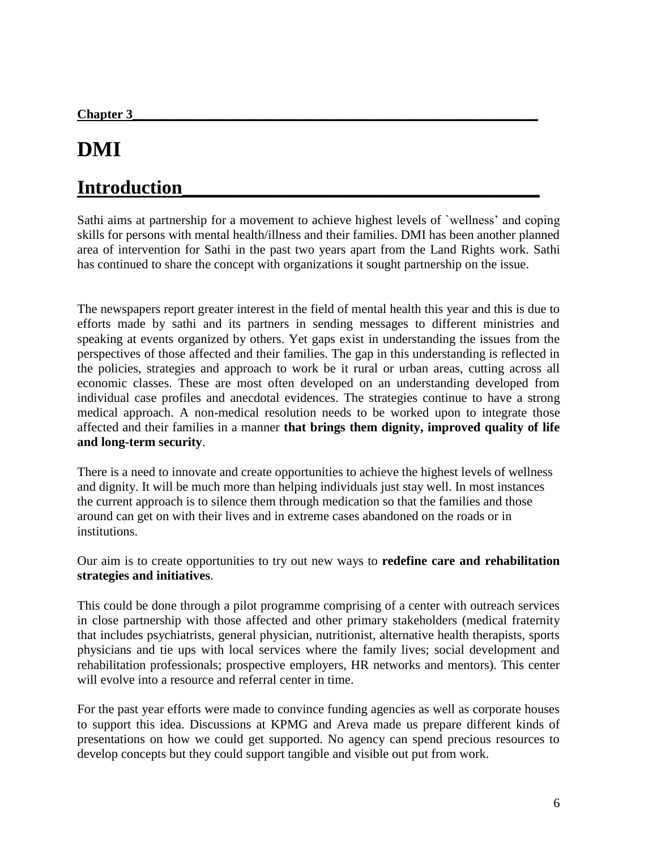# **DMI**

# **Introduction\_\_\_\_\_\_\_\_\_\_\_\_\_\_\_\_\_\_\_\_\_\_\_\_\_\_\_\_\_\_\_\_\_\_\_\_\_**

Sathi aims at partnership for a movement to achieve highest levels of `wellness' and coping skills for persons with mental health/illness and their families. DMI has been another planned area of intervention for Sathi in the past two years apart from the Land Rights work. Sathi has continued to share the concept with organizations it sought partnership on the issue.

The newspapers report greater interest in the field of mental health this year and this is due to efforts made by sathi and its partners in sending messages to different ministries and speaking at events organized by others. Yet gaps exist in understanding the issues from the perspectives of those affected and their families. The gap in this understanding is reflected in the policies, strategies and approach to work be it rural or urban areas, cutting across all economic classes. These are most often developed on an understanding developed from individual case profiles and anecdotal evidences. The strategies continue to have a strong medical approach. A non-medical resolution needs to be worked upon to integrate those affected and their families in a manner **that brings them dignity, improved quality of life and long-term security**.

There is a need to innovate and create opportunities to achieve the highest levels of wellness and dignity. It will be much more than helping individuals just stay well. In most instances the current approach is to silence them through medication so that the families and those around can get on with their lives and in extreme cases abandoned on the roads or in institutions.

Our aim is to create opportunities to try out new ways to **redefine care and rehabilitation strategies and initiatives**.

This could be done through a pilot programme comprising of a center with outreach services in close partnership with those affected and other primary stakeholders (medical fraternity that includes psychiatrists, general physician, nutritionist, alternative health therapists, sports physicians and tie ups with local services where the family lives; social development and rehabilitation professionals; prospective employers, HR networks and mentors). This center will evolve into a resource and referral center in time.

For the past year efforts were made to convince funding agencies as well as corporate houses to support this idea. Discussions at KPMG and Areva made us prepare different kinds of presentations on how we could get supported. No agency can spend precious resources to develop concepts but they could support tangible and visible out put from work.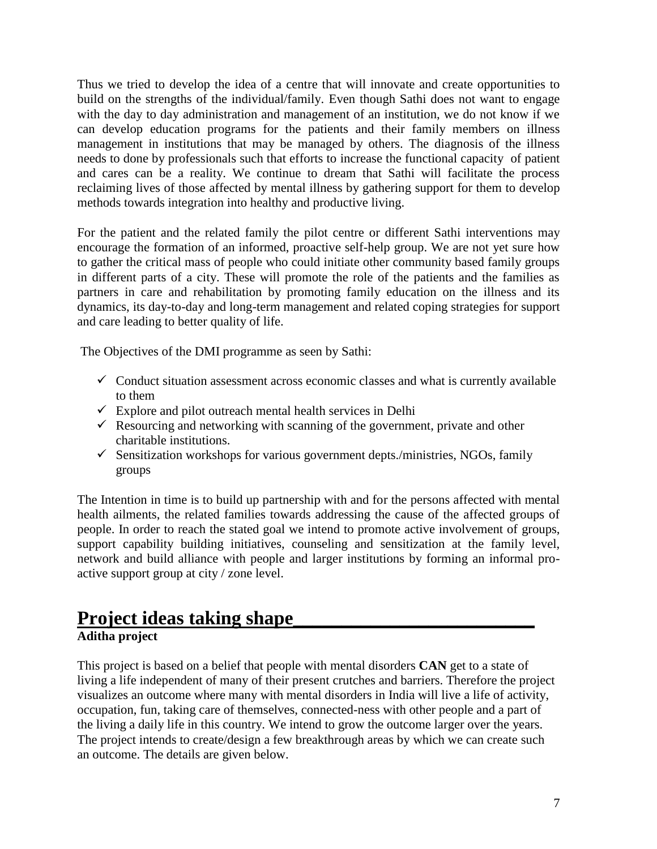Thus we tried to develop the idea of a centre that will innovate and create opportunities to build on the strengths of the individual/family. Even though Sathi does not want to engage with the day to day administration and management of an institution, we do not know if we can develop education programs for the patients and their family members on illness management in institutions that may be managed by others. The diagnosis of the illness needs to done by professionals such that efforts to increase the functional capacity of patient and cares can be a reality. We continue to dream that Sathi will facilitate the process reclaiming lives of those affected by mental illness by gathering support for them to develop methods towards integration into healthy and productive living.

For the patient and the related family the pilot centre or different Sathi interventions may encourage the formation of an informed, proactive self-help group. We are not yet sure how to gather the critical mass of people who could initiate other community based family groups in different parts of a city. These will promote the role of the patients and the families as partners in care and rehabilitation by promoting family education on the illness and its dynamics, its day-to-day and long-term management and related coping strategies for support and care leading to better quality of life.

The Objectives of the DMI programme as seen by Sathi:

- $\checkmark$  Conduct situation assessment across economic classes and what is currently available to them
- $\checkmark$  Explore and pilot outreach mental health services in Delhi
- Resourcing and networking with scanning of the government, private and other charitable institutions.
- $\checkmark$  Sensitization workshops for various government depts./ministries, NGOs, family groups

The Intention in time is to build up partnership with and for the persons affected with mental health ailments, the related families towards addressing the cause of the affected groups of people. In order to reach the stated goal we intend to promote active involvement of groups, support capability building initiatives, counseling and sensitization at the family level, network and build alliance with people and larger institutions by forming an informal proactive support group at city / zone level.

### **Project ideas taking shape\_\_\_\_\_\_\_\_\_\_\_\_\_\_\_\_\_\_\_\_\_\_\_\_\_ Aditha project**

This project is based on a belief that people with mental disorders **CAN** get to a state of living a life independent of many of their present crutches and barriers. Therefore the project visualizes an outcome where many with mental disorders in India will live a life of activity, occupation, fun, taking care of themselves, connected-ness with other people and a part of the living a daily life in this country. We intend to grow the outcome larger over the years. The project intends to create/design a few breakthrough areas by which we can create such an outcome. The details are given below.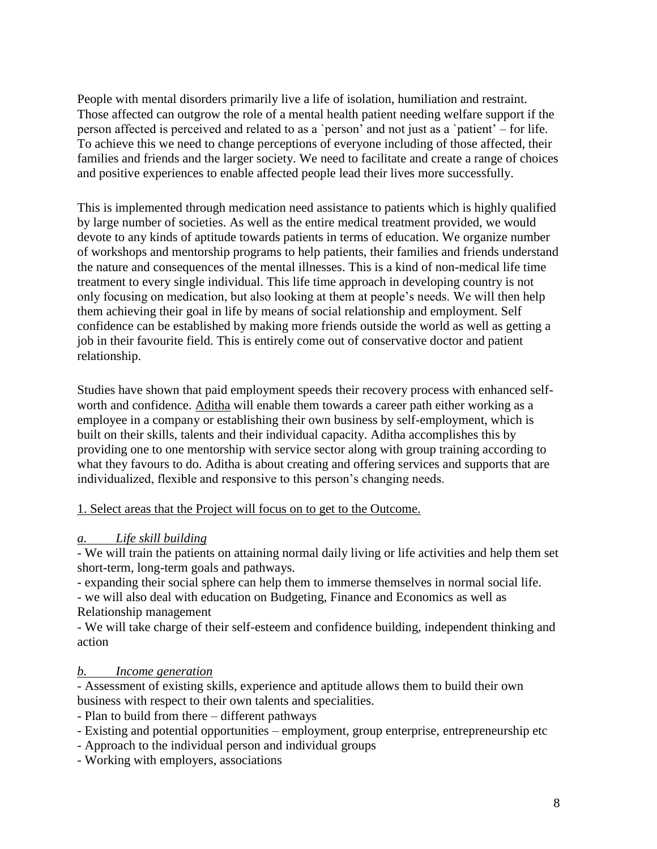People with mental disorders primarily live a life of isolation, humiliation and restraint. Those affected can outgrow the role of a mental health patient needing welfare support if the person affected is perceived and related to as a `person' and not just as a `patient' – for life. To achieve this we need to change perceptions of everyone including of those affected, their families and friends and the larger society. We need to facilitate and create a range of choices and positive experiences to enable affected people lead their lives more successfully.

This is implemented through medication need assistance to patients which is highly qualified by large number of societies. As well as the entire medical treatment provided, we would devote to any kinds of aptitude towards patients in terms of education. We organize number of workshops and mentorship programs to help patients, their families and friends understand the nature and consequences of the mental illnesses. This is a kind of non-medical life time treatment to every single individual. This life time approach in developing country is not only focusing on medication, but also looking at them at people's needs. We will then help them achieving their goal in life by means of social relationship and employment. Self confidence can be established by making more friends outside the world as well as getting a job in their favourite field. This is entirely come out of conservative doctor and patient relationship.

Studies have shown that paid employment speeds their recovery process with enhanced selfworth and confidence. Aditha will enable them towards a career path either working as a employee in a company or establishing their own business by self-employment, which is built on their skills, talents and their individual capacity. Aditha accomplishes this by providing one to one mentorship with service sector along with group training according to what they favours to do. Aditha is about creating and offering services and supports that are individualized, flexible and responsive to this person's changing needs.

#### 1. Select areas that the Project will focus on to get to the Outcome.

#### *a. Life skill building*

- We will train the patients on attaining normal daily living or life activities and help them set short-term, long-term goals and pathways.

- expanding their social sphere can help them to immerse themselves in normal social life.

- we will also deal with education on Budgeting, Finance and Economics as well as Relationship management

- We will take charge of their self-esteem and confidence building, independent thinking and action

#### *b. Income generation*

- Assessment of existing skills, experience and aptitude allows them to build their own business with respect to their own talents and specialities.

- Plan to build from there different pathways
- Existing and potential opportunities employment, group enterprise, entrepreneurship etc
- Approach to the individual person and individual groups
- Working with employers, associations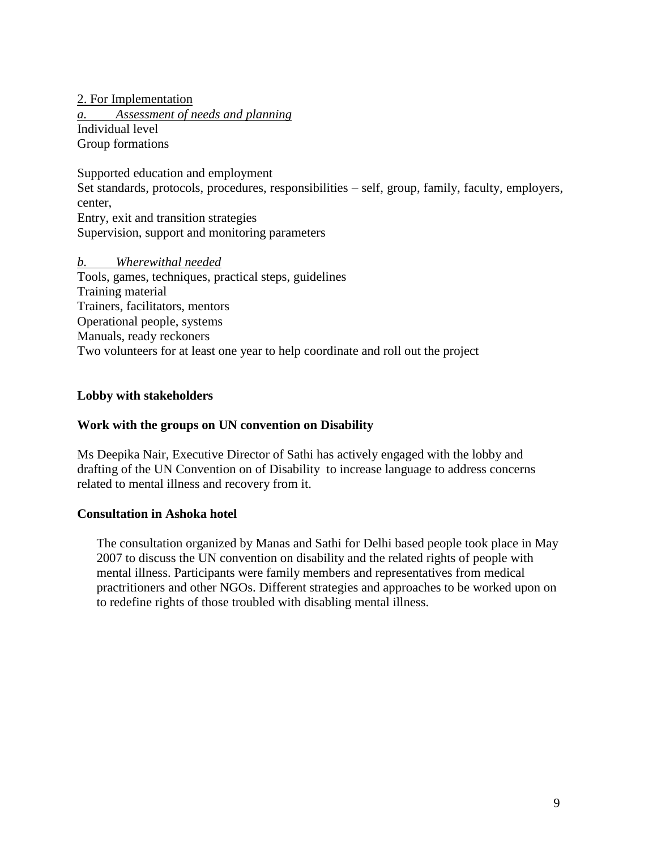2. For Implementation *a. Assessment of needs and planning* Individual level Group formations

Supported education and employment Set standards, protocols, procedures, responsibilities – self, group, family, faculty, employers, center, Entry, exit and transition strategies Supervision, support and monitoring parameters

#### *b. Wherewithal needed*

Tools, games, techniques, practical steps, guidelines Training material Trainers, facilitators, mentors Operational people, systems Manuals, ready reckoners Two volunteers for at least one year to help coordinate and roll out the project

#### **Lobby with stakeholders**

#### **Work with the groups on UN convention on Disability**

Ms Deepika Nair, Executive Director of Sathi has actively engaged with the lobby and drafting of the UN Convention on of Disability to increase language to address concerns related to mental illness and recovery from it.

#### **Consultation in Ashoka hotel**

The consultation organized by Manas and Sathi for Delhi based people took place in May 2007 to discuss the UN convention on disability and the related rights of people with mental illness. Participants were family members and representatives from medical practritioners and other NGOs. Different strategies and approaches to be worked upon on to redefine rights of those troubled with disabling mental illness.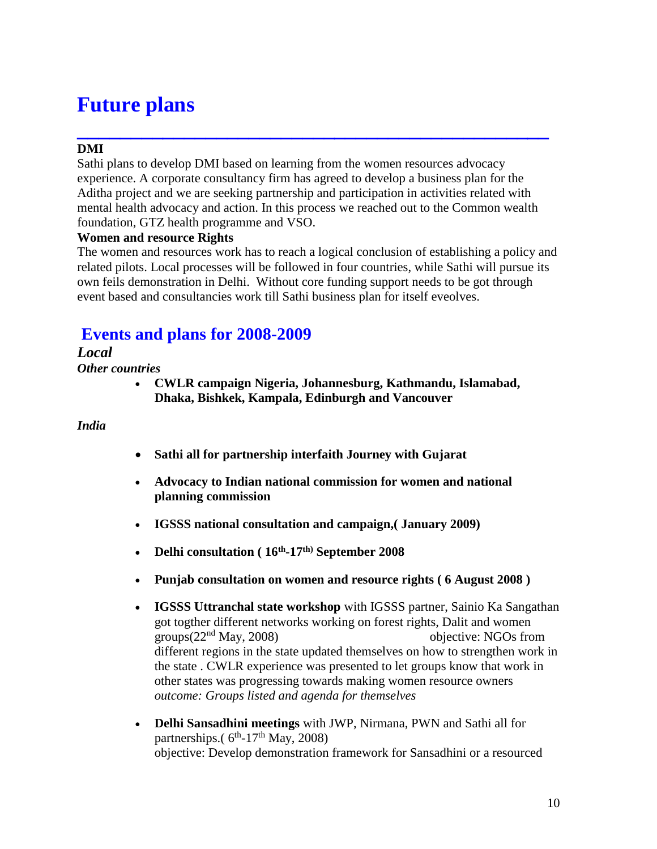# **Future plans**

## **\_\_\_\_\_\_\_\_\_\_\_\_\_\_\_\_\_\_\_\_\_\_\_\_\_\_\_\_\_\_\_\_\_\_\_\_\_\_\_\_\_\_\_\_ DMI**

Sathi plans to develop DMI based on learning from the women resources advocacy experience. A corporate consultancy firm has agreed to develop a business plan for the Aditha project and we are seeking partnership and participation in activities related with mental health advocacy and action. In this process we reached out to the Common wealth foundation, GTZ health programme and VSO.

#### **Women and resource Rights**

The women and resources work has to reach a logical conclusion of establishing a policy and related pilots. Local processes will be followed in four countries, while Sathi will pursue its own feils demonstration in Delhi. Without core funding support needs to be got through event based and consultancies work till Sathi business plan for itself eveolves.

## **Events and plans for 2008-2009**

#### *Local*

*Other countries* 

 **CWLR campaign Nigeria, Johannesburg, Kathmandu, Islamabad, Dhaka, Bishkek, Kampala, Edinburgh and Vancouver**

#### *India*

- **Sathi all for partnership interfaith Journey with Gujarat**
- **Advocacy to Indian national commission for women and national planning commission**
- **IGSSS national consultation and campaign,( January 2009)**
- **Delhi consultation ( 16th -17th) September 2008**
- **Punjab consultation on women and resource rights ( 6 August 2008 )**
- **IGSSS Uttranchal state workshop** with IGSSS partner, Sainio Ka Sangathan got togther different networks working on forest rights, Dalit and women groups(22nd May, 2008)objective: NGOs from different regions in the state updated themselves on how to strengthen work in the state . CWLR experience was presented to let groups know that work in other states was progressing towards making women resource owners *outcome: Groups listed and agenda for themselves*
- **Delhi Sansadhini meetings** with JWP, Nirmana, PWN and Sathi all for partnerships. $(6<sup>th</sup> - 17<sup>th</sup>$  May, 2008) objective: Develop demonstration framework for Sansadhini or a resourced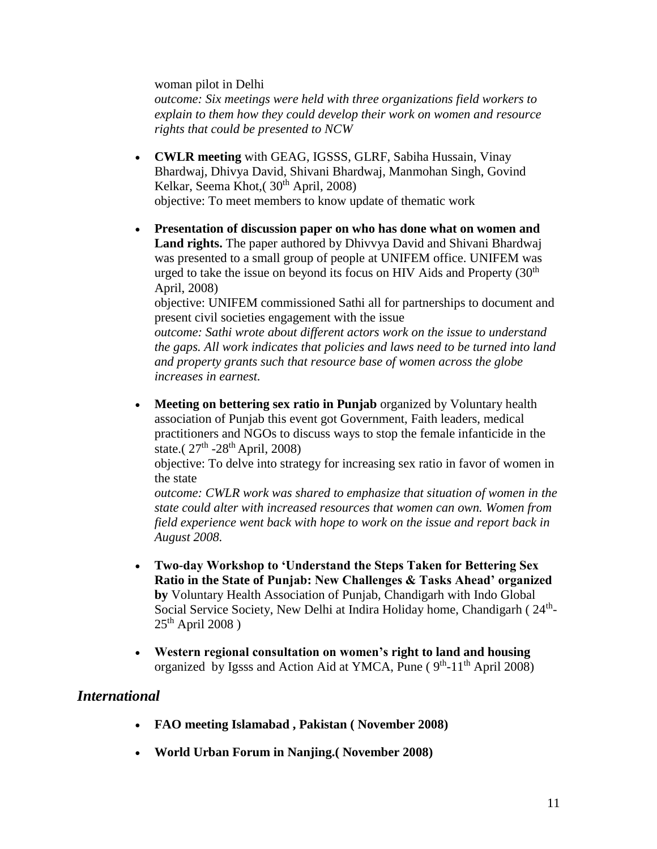woman pilot in Delhi

*outcome: Six meetings were held with three organizations field workers to explain to them how they could develop their work on women and resource rights that could be presented to NCW*

- **CWLR meeting** with GEAG, IGSSS, GLRF, Sabiha Hussain, Vinay Bhardwaj, Dhivya David, Shivani Bhardwaj, Manmohan Singh, Govind Kelkar, Seema Khot,  $(30<sup>th</sup>$  April, 2008) objective: To meet members to know update of thematic work
- **Presentation of discussion paper on who has done what on women and Land rights.** The paper authored by Dhivvya David and Shivani Bhardwaj was presented to a small group of people at UNIFEM office. UNIFEM was urged to take the issue on beyond its focus on HIV Aids and Property  $(30<sup>th</sup>$ April, 2008)

objective: UNIFEM commissioned Sathi all for partnerships to document and present civil societies engagement with the issue

*outcome: Sathi wrote about different actors work on the issue to understand the gaps. All work indicates that policies and laws need to be turned into land and property grants such that resource base of women across the globe increases in earnest.*

 **Meeting on bettering sex ratio in Punjab** organized by Voluntary health association of Punjab this event got Government, Faith leaders, medical practitioners and NGOs to discuss ways to stop the female infanticide in the state. $(27<sup>th</sup> - 28<sup>th</sup>$  April, 2008)

objective: To delve into strategy for increasing sex ratio in favor of women in the state

*outcome: CWLR work was shared to emphasize that situation of women in the state could alter with increased resources that women can own. Women from field experience went back with hope to work on the issue and report back in August 2008.*

- **Two-day Workshop to 'Understand the Steps Taken for Bettering Sex Ratio in the State of Punjab: New Challenges & Tasks Ahead' organized by** Voluntary Health Association of Punjab, Chandigarh with Indo Global Social Service Society, New Delhi at Indira Holiday home, Chandigarh (24<sup>th</sup>- $25<sup>th</sup>$  April 2008)
- **Western regional consultation on women's right to land and housing**  organized by Igsss and Action Aid at YMCA, Pune (9<sup>th</sup>-11<sup>th</sup> April 2008)

### *International*

- **FAO meeting Islamabad , Pakistan ( November 2008)**
- **World Urban Forum in Nanjing.( November 2008)**